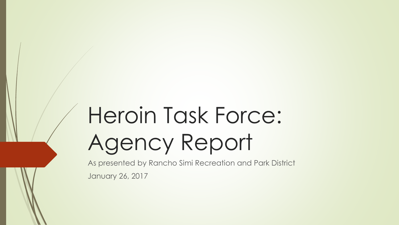# Heroin Task Force: Agency Report

As presented by Rancho Simi Recreation and Park District January 26, 2017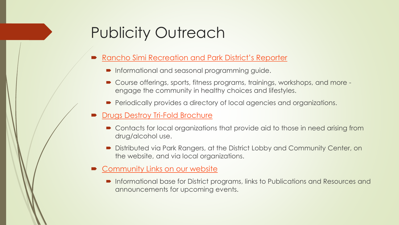# Publicity Outreach

#### [Rancho Simi Recreation and Park District's Reporter](http://www.rsrpd.org/rec/brochures/svbrochure.pdf)

- **Informational and seasonal programming guide.**
- Course offerings, sports, fitness programs, trainings, workshops, and more engage the community in healthy choices and lifestyles.
- **Periodically provides a directory of local agencies and organizations.**

#### **[Drugs Destroy Tri-Fold Brochure](http://www.rsrpd.org/admin/taskforce/drugsdestroybrochure.pdf)**

- Contacts for local organizations that provide aid to those in need arising from drug/alcohol use.
- Distributed via Park Rangers, at the District Lobby and Community Center, on the website, and via local organizations.
- **[Community Links on our website](http://www.rsrpd.org/admin/taskforce/taskforce.html)** 
	- Informational base for District programs, links to Publications and Resources and announcements for upcoming events.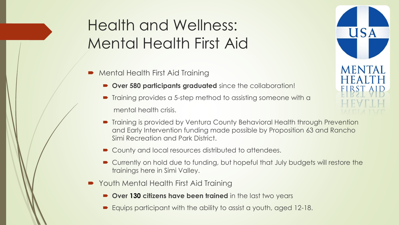# Health and Wellness: Mental Health First Aid

- Mental Health First Aid Training
	- **Over 580 participants graduated** since the collaboration!
	- Training provides a 5-step method to assisting someone with a mental health crisis.
	- Training is provided by Ventura County Behavioral Health through Prevention and Early Intervention funding made possible by Proposition 63 and Rancho Simi Recreation and Park District.

**USA** 

**MENTAL** 

- County and local resources distributed to attendees.
- Currently on hold due to funding, but hopeful that July budgets will restore the trainings here in Simi Valley.
- Youth Mental Health First Aid Training
	- **Over 130 citizens have been trained** in the last two years
	- Equips participant with the ability to assist a youth, aged 12-18.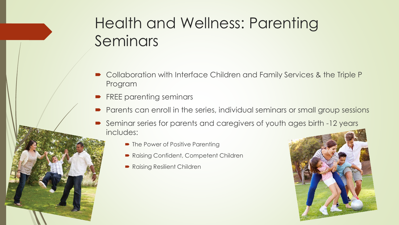# Health and Wellness: Parenting Seminars

- Collaboration with Interface Children and Family Services & the Triple P Program
- FREE parenting seminars
- Parents can enroll in the series, individual seminars or small group sessions
- Seminar series for parents and caregivers of youth ages birth -12 years includes:
	- The Power of Positive Parenting
	- Raising Confident, Competent Children
	- Raising Resilient Children

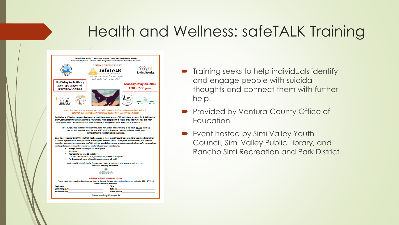### Health and Wellness: safeTALK Training

| Presented by Stanley C. Mantooth, Ventura County Superintendent of Schools<br>Coordinated by Dawn Anderson, VCOE Comprehensive Health and Prevention Programs                                                                                                                                                                                                                                                                                                                                                                                                                                                                                                                                                                                                                                                                    |                                                                                                                                                |                                                   |
|----------------------------------------------------------------------------------------------------------------------------------------------------------------------------------------------------------------------------------------------------------------------------------------------------------------------------------------------------------------------------------------------------------------------------------------------------------------------------------------------------------------------------------------------------------------------------------------------------------------------------------------------------------------------------------------------------------------------------------------------------------------------------------------------------------------------------------|------------------------------------------------------------------------------------------------------------------------------------------------|---------------------------------------------------|
|                                                                                                                                                                                                                                                                                                                                                                                                                                                                                                                                                                                                                                                                                                                                                                                                                                  | <b>BECOME SUICIDE ALERT!</b><br>safeTALK<br>such a suit shottage he correcte.<br>suicide alertness for everyone<br>Tell, Ask. Listen, KeepSafe | ▓▓ <sub>¥</sub><br>LivingWorks                    |
| <b>Simi Valley Public Library</b><br>2969 Tapo Canyon Rd.<br>Simi Valley, CA 93063                                                                                                                                                                                                                                                                                                                                                                                                                                                                                                                                                                                                                                                                                                                                               |                                                                                                                                                | <b>Monday, May 23, 2016</b><br>$4:30 - 7:30$ p.m. |
| <b>SIMI VALLEY</b><br>PUBLIC<br>LIBRARY                                                                                                                                                                                                                                                                                                                                                                                                                                                                                                                                                                                                                                                                                                                                                                                          |                                                                                                                                                | CITY OF SIMI VALLEY                               |
| Learn four basic steps to recognize persons with thoughts of suicide and connect them with help.<br>safeTALK is an internationally recognized training from LivingWorks Education                                                                                                                                                                                                                                                                                                                                                                                                                                                                                                                                                                                                                                                |                                                                                                                                                |                                                   |
| Suicide is the 3 <sup>nd</sup> leading cause of death among youth between the ages of 10 and 24 and accounts for 4,600 lives lost<br>every year (Centers for Disease Control & Prevention). Most people with thoughts of suicide invite help but often<br>these opportunities are missed, dismissed or avoided - leaving people more alone and at greater risk.                                                                                                                                                                                                                                                                                                                                                                                                                                                                  |                                                                                                                                                |                                                   |
| safeTALK (suicide alertness for everyone, Talk, Ask, Listen and KeepSafe) is a 3 hour, no cost training<br>that prepares anyone over the age of 15 to identify persons with thoughts of suicide and<br>connect them to suicide first aid resources.                                                                                                                                                                                                                                                                                                                                                                                                                                                                                                                                                                              |                                                                                                                                                |                                                   |
| Since its development in 2006, safeTALK has been used in more than 20 countries around the world, and more than<br>200 video vignettes have been produced, including two here in Ventura County with local students, that illustrate<br>both alert and non-alert responses, safeTALK trained alert helpers are an important part of suicide-safer communities,<br>working alongside intervention resources to identify and avert suicide risks.<br>A single 3 hour training for 15 participants<br>No charge<br>Appropriate for ages 15 and above<br>Parent permission is strongly advised for student participants<br>Participants will leave with skills, resources and a free kit<br>"Made possible through funding from Ventura County Behavioral Health, Mental Health Services Act,<br>Prevention and Early Intervention." |                                                                                                                                                |                                                   |
| <b>SENTURA COUNTY</b><br>BEHAVIORAL HEALTH                                                                                                                                                                                                                                                                                                                                                                                                                                                                                                                                                                                                                                                                                                                                                                                       |                                                                                                                                                |                                                   |
| safeTALK at Simi Valley Public Library<br>Please email this completed registration form to Deanna Escobar at descobar@vcoe.org or fax to 805-437-1515<br><b>Email Address is Required</b>                                                                                                                                                                                                                                                                                                                                                                                                                                                                                                                                                                                                                                        |                                                                                                                                                |                                                   |
| <b>Registrant:</b><br>District/Agency:<br><b>Email Address:</b>                                                                                                                                                                                                                                                                                                                                                                                                                                                                                                                                                                                                                                                                                                                                                                  | <b>Title:</b><br>School:<br><b>Work Phone:</b>                                                                                                 |                                                   |
| Commitment to Quality Education for M.                                                                                                                                                                                                                                                                                                                                                                                                                                                                                                                                                                                                                                                                                                                                                                                           |                                                                                                                                                |                                                   |

- **Training seeks to help individuals identify** and engage people with suicidal thoughts and connect them with further help.
- **Provided by Ventura County Office of Education**
- **Exent hosted by Simi Valley Youth** Council, Simi Valley Public Library, and Rancho Simi Recreation and Park District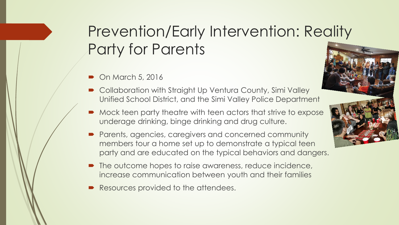# Prevention/Early Intervention: Reality Party for Parents

- $\bullet$  On March 5, 2016
- Collaboration with Straight Up Ventura County, Simi Valley Unified School District, and the Simi Valley Police Department
- Mock teen party theatre with teen actors that strive to expose underage drinking, binge drinking and drug culture.
- Parents, agencies, caregivers and concerned community members tour a home set up to demonstrate a typical teen party and are educated on the typical behaviors and dangers.
- The outcome hopes to raise awareness, reduce incidence, increase communication between youth and their families
- Resources provided to the attendees.

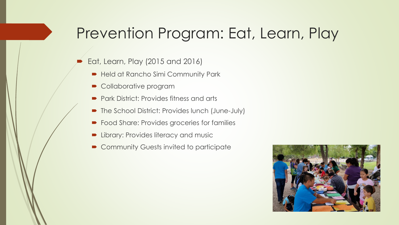### Prevention Program: Eat, Learn, Play

- Eat, Learn, Play (2015 and 2016)
	- Held at Rancho Simi Community Park
	- Collaborative program
	- **Park District: Provides fitness and arts**
	- The School District: Provides lunch (June-July)
	- **•** Food Share: Provides groceries for families
	- Library: Provides literacy and music
	- Community Guests invited to participate

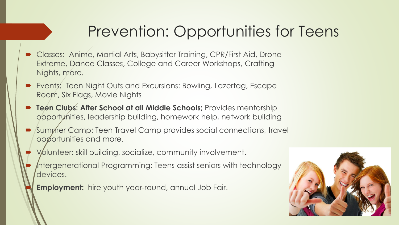# Prevention: Opportunities for Teens

- **Classes: Anime, Martial Arts, Babysitter Training, CPR/First Aid, Drone** Extreme, Dance Classes, College and Career Workshops, Crafting Nights, more.
- Events: Teen Night Outs and Excursions: Bowling, Lazertag, Escape Room, Six Flags, Movie Nights
- **Teen Clubs: After School at all Middle Schools;** Provides mentorship opportynities, leadership building, homework help, network building
- Summer Camp: Teen Travel Camp provides social connections, travel opportunities and more.
- Volunteer: skill building, socialize, community involvement.
- Intergenerational Programming: Teens assist seniors with technology devices.
- **Employment:** hire youth year-round, annual Job Fair.